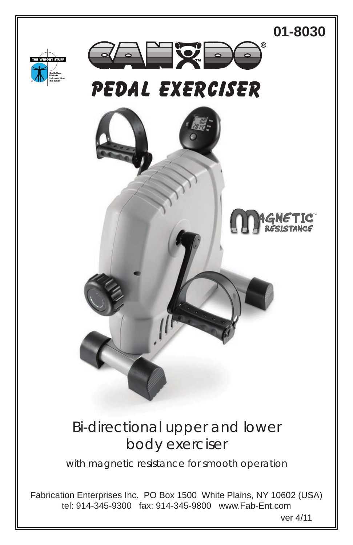

### Bi-directional upper and lower body exerciser

with magnetic resistance for smooth operation

Fabrication Enterprises Inc. PO Box 1500 White Plains, NY 10602 (USA) tel: 914-345-9300 fax: 914-345-9800 www.Fab-Ent.com

ver 4/11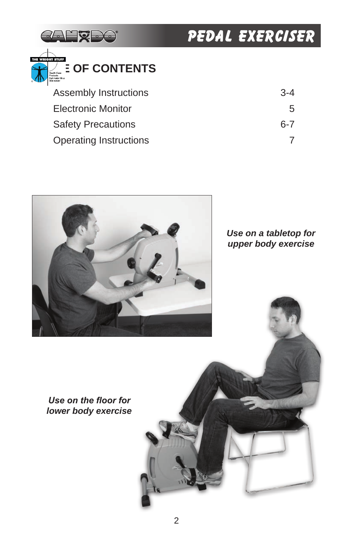



| Assembly Instructions     | $3 - 4$ |
|---------------------------|---------|
| Electronic Monitor        | 5       |
| <b>Safety Precautions</b> | հ-7     |
| Operating Instructions    |         |



*Use on a tabletop for upper body exercise*

*Use on the floor for lower body exercise*

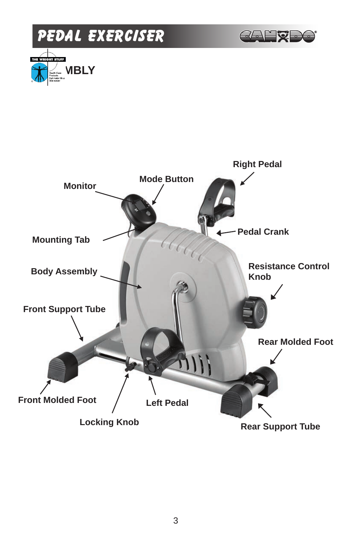

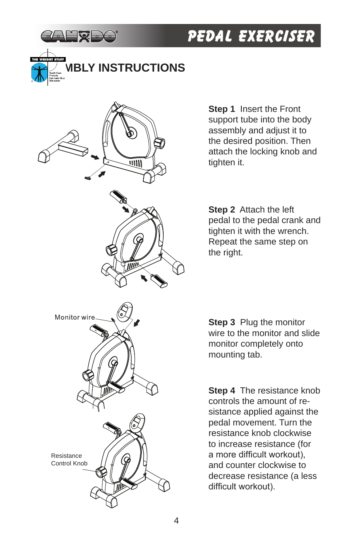

## **ABLY INSTRUCTIONS**



**Step 1** Insert the Front support tube into the body assembly and adjust it to the desired position. Then attach the locking knob and tighten it.

**Step 2** Attach the left pedal to the pedal crank and tighten it with the wrench. Repeat the same step on the right.

**Step 3** Plug the monitor wire to the monitor and slide monitor completely onto mounting tab.

**Step 4** The resistance knob controls the amount of resistance applied against the pedal movement. Turn the resistance knob clockwise to increase resistance (for a more difficult workout), and counter clockwise to decrease resistance (a less difficult workout).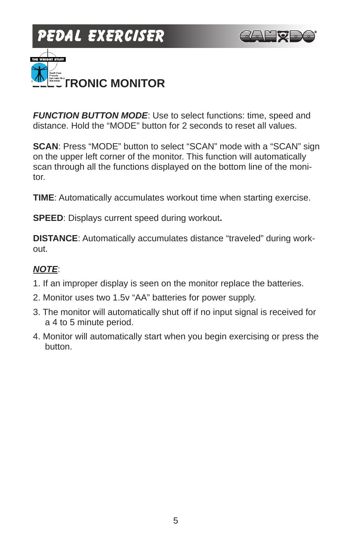





*FUNCTION BUTTON MODE*: Use to select functions: time, speed and distance. Hold the "MODE" button for 2 seconds to reset all values.

**SCAN**: Press "MODE" button to select "SCAN" mode with a "SCAN" sign on the upper left corner of the monitor. This function will automatically scan through all the functions displayed on the bottom line of the monitor.

**TIME**: Automatically accumulates workout time when starting exercise.

**SPEED**: Displays current speed during workout**.**

**DISTANCE**: Automatically accumulates distance "traveled" during workout.

### *NOTE*:

- 1. If an improper display is seen on the monitor replace the batteries.
- 2. Monitor uses two 1.5v "AA" batteries for power supply.
- 3. The monitor will automatically shut off if no input signal is received for a 4 to 5 minute period.
- 4. Monitor will automatically start when you begin exercising or press the button.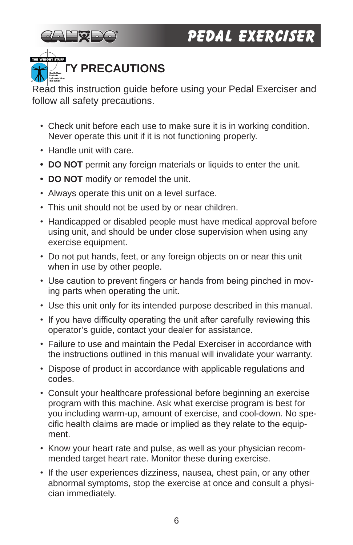

## **FY PRECAUTIONS**

Read this instruction quide before using your Pedal Exerciser and follow all safety precautions.

- Check unit before each use to make sure it is in working condition. Never operate this unit if it is not functioning properly.
- Handle unit with care.
- **• DO NOT** permit any foreign materials or liquids to enter the unit.
- **• DO NOT** modify or remodel the unit.
- Always operate this unit on a level surface.
- This unit should not be used by or near children.
- Handicapped or disabled people must have medical approval before using unit, and should be under close supervision when using any exercise equipment.
- Do not put hands, feet, or any foreign objects on or near this unit when in use by other people.
- Use caution to prevent fingers or hands from being pinched in moving parts when operating the unit.
- Use this unit only for its intended purpose described in this manual.
- If you have difficulty operating the unit after carefully reviewing this operator's guide, contact your dealer for assistance.
- Failure to use and maintain the Pedal Exerciser in accordance with the instructions outlined in this manual will invalidate your warranty.
- Dispose of product in accordance with applicable regulations and codes.
- Consult your healthcare professional before beginning an exercise program with this machine. Ask what exercise program is best for you including warm-up, amount of exercise, and cool-down. No specific health claims are made or implied as they relate to the equipment.
- Know your heart rate and pulse, as well as your physician recommended target heart rate. Monitor these during exercise.
- If the user experiences dizziness, nausea, chest pain, or any other abnormal symptoms, stop the exercise at once and consult a physician immediately.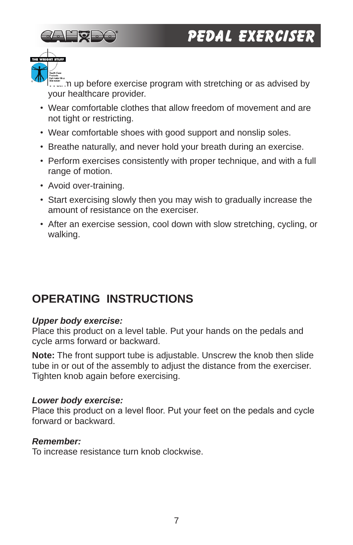



 $\dot{\mathbb{P}}$  up before exercise program with stretching or as advised by your healthcare provider.

- Wear comfortable clothes that allow freedom of movement and are not tight or restricting.
- Wear comfortable shoes with good support and nonslip soles.
- Breathe naturally, and never hold your breath during an exercise.
- Perform exercises consistently with proper technique, and with a full range of motion.
- Avoid over-training.
- Start exercising slowly then you may wish to gradually increase the amount of resistance on the exerciser.
- After an exercise session, cool down with slow stretching, cycling, or walking.

### **OPERATING INSTRUCTIONS**

### *Upper body exercise:*

Place this product on a level table. Put your hands on the pedals and cycle arms forward or backward.

**Note:** The front support tube is adjustable. Unscrew the knob then slide tube in or out of the assembly to adjust the distance from the exerciser. Tighten knob again before exercising.

#### *Lower body exercise:*

Place this product on a level floor. Put your feet on the pedals and cycle forward or backward.

### *Remember:*

To increase resistance turn knob clockwise.